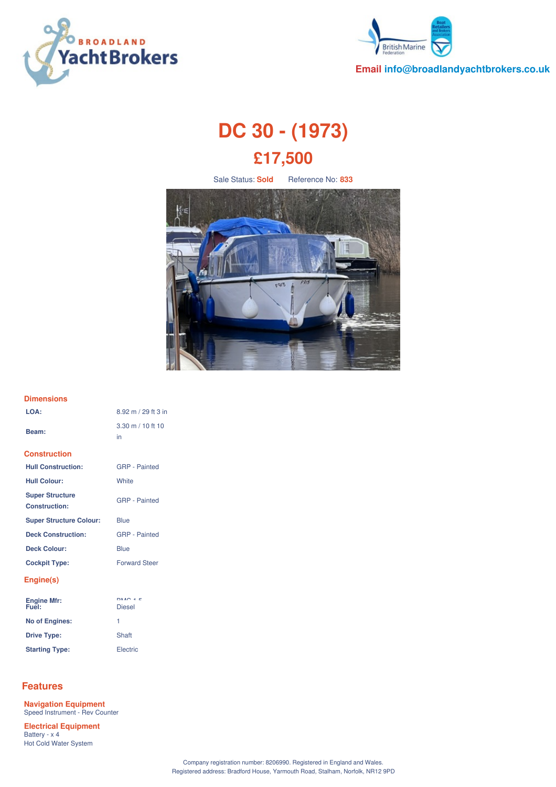



**Email info@broadlandyachtbrokers.co.uk**

# **DC 30 - (1973) £17,500**

Sale Status: **Sold** Reference No: **833**



#### **Dimensions**

| LOA:                                           | 8.92 m / 29 ft 3 in                       |
|------------------------------------------------|-------------------------------------------|
| Beam:                                          | $3.30 \text{ m} / 10 \text{ ft} 10$<br>in |
| <b>Construction</b>                            |                                           |
| <b>Hull Construction:</b>                      | <b>GRP</b> - Painted                      |
| <b>Hull Colour:</b>                            | White                                     |
| <b>Super Structure</b><br><b>Construction:</b> | <b>GRP</b> - Painted                      |
| <b>Super Structure Colour:</b>                 | <b>Blue</b>                               |
| <b>Deck Construction:</b>                      | <b>GRP</b> - Painted                      |
| <b>Deck Colour:</b>                            | Blue                                      |
| <b>Cockpit Type:</b>                           | <b>Forward Steer</b>                      |
| Engine(s)                                      |                                           |
| Engine Mfr:<br>Fuel:                           | $DMO \neq F$<br><b>Diesel</b>             |
| <b>No of Engines:</b>                          | 1                                         |
| <b>Drive Type:</b>                             | Shaft                                     |

# **Features**

**Navigation Equipment** Speed Instrument - Rev Counter **Electrical Equipment** Battery - x 4

Hot Cold Water System

**Starting Type:** Electric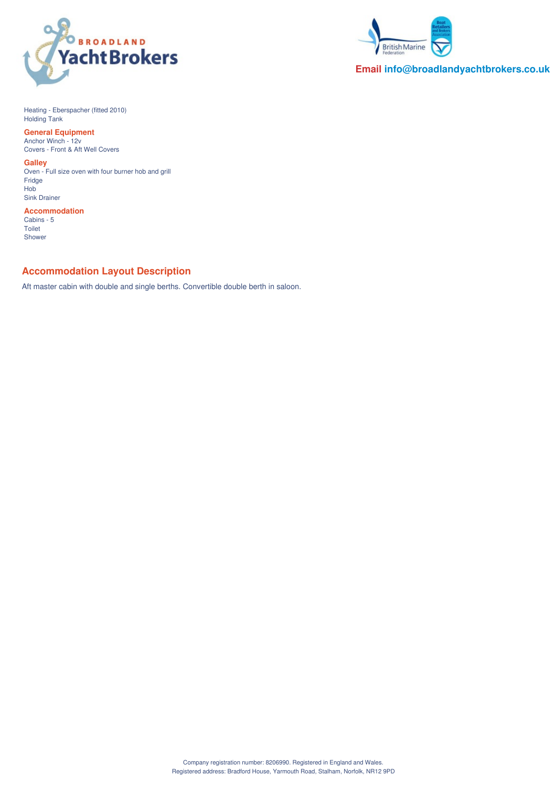



**Email info@broadlandyachtbrokers.co.uk**

Heating - Eberspacher (fitted 2010) Holding Tank

**General Equipment** Anchor Winch - 12v Covers - Front & Aft Well Covers

**Galley**

Oven - Full size oven with four burner hob and grill Fridge Hob Sink Drainer

**Accommodation** Cabins - 5 Toilet Shower

# **Accommodation Layout Description**

Aft master cabin with double and single berths. Convertible double berth in saloon.